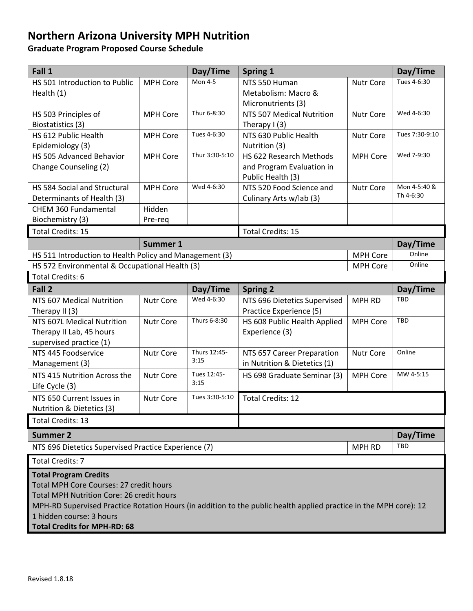## **Northern Arizona University MPH Nutrition**

**Graduate Program Proposed Course Schedule** 

| Fall 1                                                                                                            |                  | Day/Time       | <b>Spring 1</b>                               |                  | Day/Time       |
|-------------------------------------------------------------------------------------------------------------------|------------------|----------------|-----------------------------------------------|------------------|----------------|
| HS 501 Introduction to Public                                                                                     | <b>MPH Core</b>  | <b>Mon 4-5</b> | NTS 550 Human                                 | Nutr Core        | Tues 4-6:30    |
| Health (1)                                                                                                        |                  |                | Metabolism: Macro &                           |                  |                |
|                                                                                                                   |                  |                | Micronutrients (3)                            |                  |                |
| HS 503 Principles of                                                                                              | <b>MPH Core</b>  | Thur 6-8:30    | NTS 507 Medical Nutrition                     | <b>Nutr Core</b> | Wed 4-6:30     |
| Biostatistics (3)                                                                                                 |                  |                | Therapy $I(3)$                                |                  |                |
| HS 612 Public Health                                                                                              | <b>MPH Core</b>  | Tues 4-6:30    | NTS 630 Public Health                         | Nutr Core        | Tues 7:30-9:10 |
| Epidemiology (3)                                                                                                  |                  |                | Nutrition (3)                                 |                  |                |
| HS 505 Advanced Behavior                                                                                          | <b>MPH Core</b>  | Thur 3:30-5:10 | HS 622 Research Methods                       | MPH Core         | Wed 7-9:30     |
| Change Counseling (2)                                                                                             |                  |                | and Program Evaluation in                     |                  |                |
| HS 584 Social and Structural                                                                                      | <b>MPH Core</b>  | Wed 4-6:30     | Public Health (3)<br>NTS 520 Food Science and | <b>Nutr Core</b> | Mon 4-5:40 &   |
| Determinants of Health (3)                                                                                        |                  |                | Culinary Arts w/lab (3)                       |                  | Th 4-6:30      |
| CHEM 360 Fundamental                                                                                              | Hidden           |                |                                               |                  |                |
| Biochemistry (3)                                                                                                  | Pre-req          |                |                                               |                  |                |
| <b>Total Credits: 15</b>                                                                                          |                  |                | <b>Total Credits: 15</b>                      |                  |                |
| <b>Summer 1</b>                                                                                                   |                  |                |                                               |                  | Day/Time       |
| HS 511 Introduction to Health Policy and Management (3)<br><b>MPH Core</b>                                        |                  |                |                                               | Online           |                |
| HS 572 Environmental & Occupational Health (3)<br><b>MPH Core</b>                                                 |                  |                |                                               | Online           |                |
| <b>Total Credits: 6</b>                                                                                           |                  |                |                                               |                  |                |
| Fall 2<br>Day/Time                                                                                                |                  |                | <b>Spring 2</b>                               |                  | Day/Time       |
| NTS 607 Medical Nutrition                                                                                         | <b>Nutr Core</b> | Wed 4-6:30     | NTS 696 Dietetics Supervised                  | <b>MPH RD</b>    | <b>TBD</b>     |
| Therapy II (3)                                                                                                    |                  |                | Practice Experience (5)                       |                  |                |
| NTS 607L Medical Nutrition                                                                                        | <b>Nutr Core</b> | Thurs 6-8:30   | HS 608 Public Health Applied                  | <b>MPH Core</b>  | TBD            |
| Therapy II Lab, 45 hours                                                                                          |                  |                | Experience (3)                                |                  |                |
| supervised practice (1)                                                                                           |                  |                |                                               |                  |                |
| NTS 445 Foodservice                                                                                               | Nutr Core        | Thurs 12:45-   | NTS 657 Career Preparation                    | Nutr Core        | Online         |
| Management (3)                                                                                                    |                  | 3:15           | in Nutrition & Dietetics (1)                  |                  |                |
| NTS 415 Nutrition Across the                                                                                      | <b>Nutr Core</b> | Tues 12:45-    | HS 698 Graduate Seminar (3)                   | <b>MPH Core</b>  | MW 4-5:15      |
| Life Cycle (3)                                                                                                    |                  | 3:15           |                                               |                  |                |
| NTS 650 Current Issues in                                                                                         | Nutr Core        | Tues 3:30-5:10 | <b>Total Credits: 12</b>                      |                  |                |
| Nutrition & Dietetics (3)                                                                                         |                  |                |                                               |                  |                |
| Total Credits: 13                                                                                                 |                  |                |                                               |                  |                |
| <b>Summer 2</b>                                                                                                   |                  |                |                                               |                  | Day/Time       |
| NTS 696 Dietetics Supervised Practice Experience (7)<br>MPH RD                                                    |                  |                |                                               |                  | TBD            |
| <b>Total Credits: 7</b>                                                                                           |                  |                |                                               |                  |                |
| <b>Total Program Credits</b>                                                                                      |                  |                |                                               |                  |                |
| Total MPH Core Courses: 27 credit hours                                                                           |                  |                |                                               |                  |                |
| Total MPH Nutrition Core: 26 credit hours                                                                         |                  |                |                                               |                  |                |
| MPH-RD Supervised Practice Rotation Hours (in addition to the public health applied practice in the MPH core): 12 |                  |                |                                               |                  |                |
| 1 hidden course: 3 hours                                                                                          |                  |                |                                               |                  |                |
| <b>Total Credits for MPH-RD: 68</b>                                                                               |                  |                |                                               |                  |                |